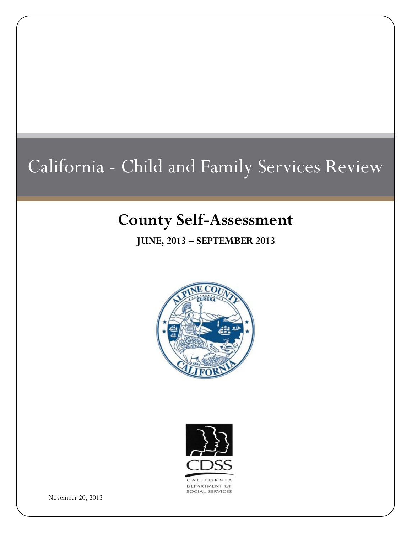# California - Child and Family Services Review

# **County Self-Assessment**

**JUNE, 2013 – SEPTEMBER 2013**





November 20, 2013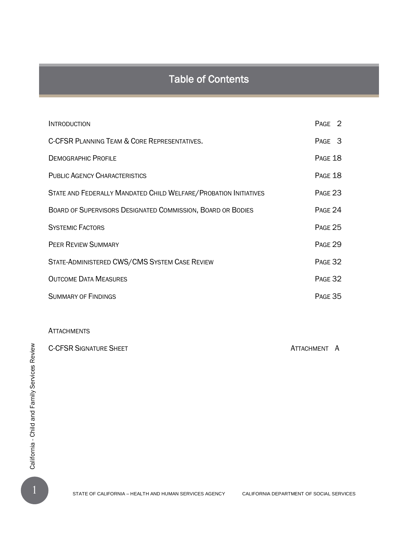# Table of Contents

| <b>INTRODUCTION</b>                                               | PAGE 2         |  |
|-------------------------------------------------------------------|----------------|--|
| C-CFSR PLANNING TEAM & CORE REPRESENTATIVES.                      | PAGE 3         |  |
| <b>DEMOGRAPHIC PROFILE</b>                                        | <b>PAGE 18</b> |  |
| <b>PUBLIC AGENCY CHARACTERISTICS</b>                              | PAGE 18        |  |
| STATE AND FEDERALLY MANDATED CHILD WELFARE/ PROBATION INITIATIVES | PAGE 23        |  |
| BOARD OF SUPERVISORS DESIGNATED COMMISSION, BOARD OR BODIES       | PAGE 24        |  |
| <b>SYSTEMIC FACTORS</b>                                           | <b>PAGE 25</b> |  |
| <b>PEER REVIEW SUMMARY</b>                                        | <b>PAGE 29</b> |  |
| STATE-ADMINISTERED CWS/CMS SYSTEM CASE REVIEW                     | PAGE 32        |  |
| <b>OUTCOME DATA MEASURES</b>                                      | PAGE 32        |  |
| <b>SUMMARY OF FINDINGS</b>                                        | PAGE 35        |  |

#### **ATTACHMENTS**

C-CFSR SIGNATURE SHEET ATTACHMENT ATTACHMENT A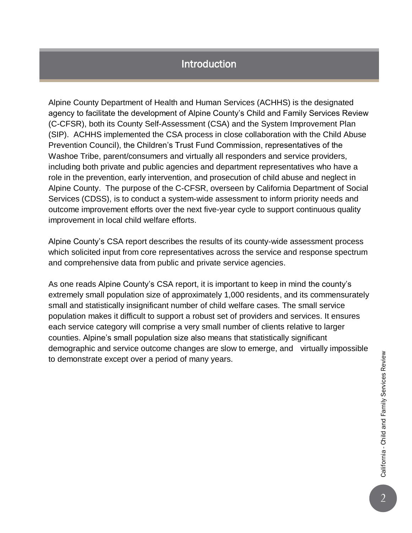## Introduction

Alpine County Department of Health and Human Services (ACHHS) is the designated agency to facilitate the development of Alpine County's Child and Family Services Review (C-CFSR), both its County Self-Assessment (CSA) and the System Improvement Plan (SIP). ACHHS implemented the CSA process in close collaboration with the Child Abuse Prevention Council), the Children's Trust Fund Commission, representatives of the Washoe Tribe, parent/consumers and virtually all responders and service providers, including both private and public agencies and department representatives who have a role in the prevention, early intervention, and prosecution of child abuse and neglect in Alpine County. The purpose of the C-CFSR, overseen by California Department of Social Services (CDSS), is to conduct a system-wide assessment to inform priority needs and outcome improvement efforts over the next five-year cycle to support continuous quality improvement in local child welfare efforts.

Alpine County's CSA report describes the results of its county-wide assessment process which solicited input from core representatives across the service and response spectrum and comprehensive data from public and private service agencies.

As one reads Alpine County's CSA report, it is important to keep in mind the county's extremely small population size of approximately 1,000 residents, and its commensurately small and statistically insignificant number of child welfare cases. The small service population makes it difficult to support a robust set of providers and services. It ensures each service category will comprise a very small number of clients relative to larger counties. Alpine's small population size also means that statistically significant demographic and service outcome changes are slow to emerge, and virtually impossible to demonstrate except over a period of many years.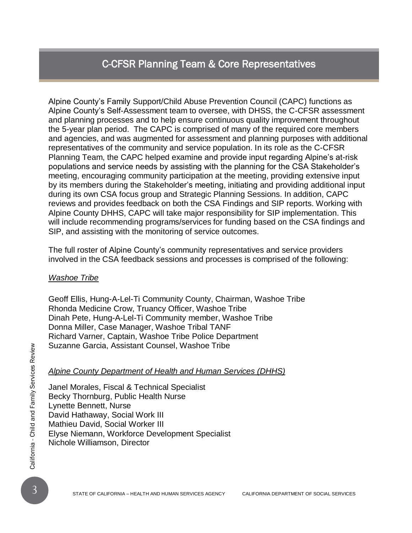### C-CFSR Planning Team & Core Representatives

Alpine County's Family Support/Child Abuse Prevention Council (CAPC) functions as Alpine County's Self-Assessment team to oversee, with DHSS, the C-CFSR assessment and planning processes and to help ensure continuous quality improvement throughout the 5-year plan period. The CAPC is comprised of many of the required core members and agencies, and was augmented for assessment and planning purposes with additional representatives of the community and service population. In its role as the C-CFSR Planning Team, the CAPC helped examine and provide input regarding Alpine's at-risk populations and service needs by assisting with the planning for the CSA Stakeholder's meeting, encouraging community participation at the meeting, providing extensive input by its members during the Stakeholder's meeting, initiating and providing additional input during its own CSA focus group and Strategic Planning Sessions. In addition, CAPC reviews and provides feedback on both the CSA Findings and SIP reports. Working with Alpine County DHHS, CAPC will take major responsibility for SIP implementation. This will include recommending programs/services for funding based on the CSA findings and SIP, and assisting with the monitoring of service outcomes.

The full roster of Alpine County's community representatives and service providers involved in the CSA feedback sessions and processes is comprised of the following:

#### *Washoe Tribe*

Geoff Ellis, Hung-A-Lel-Ti Community County, Chairman, Washoe Tribe Rhonda Medicine Crow, Truancy Officer, Washoe Tribe Dinah Pete, Hung-A-Lel-Ti Community member, Washoe Tribe Donna Miller, Case Manager, Washoe Tribal TANF Richard Varner, Captain, Washoe Tribe Police Department Suzanne Garcia, Assistant Counsel, Washoe Tribe

#### *Alpine County Department of Health and Human Services (DHHS)*

Suzanne Garcia, Assistant Counsel, Washoe Tribe<br>  $\frac{20}{25}$ <br> *Alpine County Department of Health and Human Services (DHHS)*<br>
Janel Morales, Fiscal & Technical Specialist<br>
Becky Thornburg, Public Health Nurse<br>
Lynette Benn Janel Morales, Fiscal & Technical Specialist Becky Thornburg, Public Health Nurse Lynette Bennett, Nurse David Hathaway, Social Work III Mathieu David, Social Worker III Elyse Niemann, Workforce Development Specialist Nichole Williamson, Director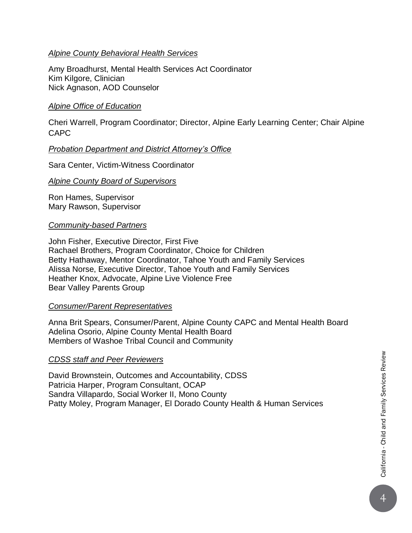#### *Alpine County Behavioral Health Services*

Amy Broadhurst, Mental Health Services Act Coordinator Kim Kilgore, Clinician Nick Agnason, AOD Counselor

#### *Alpine Office of Education*

Cheri Warrell, Program Coordinator; Director, Alpine Early Learning Center; Chair Alpine CAPC

#### *Probation Department and District Attorney's Office*

Sara Center, Victim-Witness Coordinator

#### *Alpine County Board of Supervisors*

Ron Hames, Supervisor Mary Rawson, Supervisor

#### *Community-based Partners*

John Fisher, Executive Director, First Five Rachael Brothers, Program Coordinator, Choice for Children Betty Hathaway, Mentor Coordinator, Tahoe Youth and Family Services Alissa Norse, Executive Director, Tahoe Youth and Family Services Heather Knox, Advocate, Alpine Live Violence Free Bear Valley Parents Group

#### *Consumer/Parent Representatives*

Anna Brit Spears, Consumer/Parent, Alpine County CAPC and Mental Health Board Adelina Osorio, Alpine County Mental Health Board Members of Washoe Tribal Council and Community

#### *CDSS staff and Peer Reviewers*

David Brownstein, Outcomes and Accountability, CDSS Patricia Harper, Program Consultant, OCAP Sandra Villapardo, Social Worker II, Mono County Patty Moley, Program Manager, El Dorado County Health & Human Services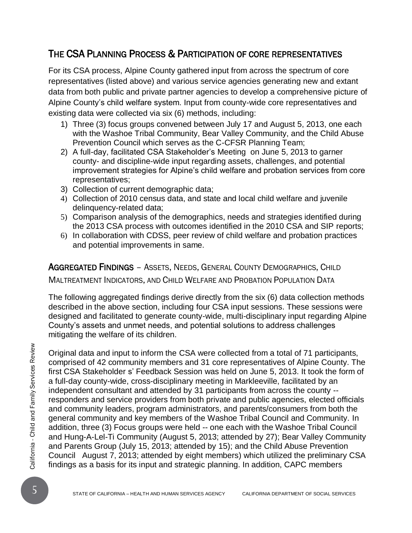### THE CSA PLANNING PROCESS & PARTICIPATION OF CORE REPRESENTATIVES

For its CSA process, Alpine County gathered input from across the spectrum of core representatives (listed above) and various service agencies generating new and extant data from both public and private partner agencies to develop a comprehensive picture of Alpine County's child welfare system. Input from county-wide core representatives and existing data were collected via six (6) methods, including:

- 1) Three (3) focus groups convened between July 17 and August 5, 2013, one each with the Washoe Tribal Community, Bear Valley Community, and the Child Abuse Prevention Council which serves as the C-CFSR Planning Team;
- 2) A full-day, facilitated CSA Stakeholder's Meeting on June 5, 2013 to garner county- and discipline-wide input regarding assets, challenges, and potential improvement strategies for Alpine's child welfare and probation services from core representatives;
- 3) Collection of current demographic data;
- 4) Collection of 2010 census data, and state and local child welfare and juvenile delinquency-related data;
- 5) Comparison analysis of the demographics, needs and strategies identified during the 2013 CSA process with outcomes identified in the 2010 CSA and SIP reports;
- 6) In collaboration with CDSS, peer review of child welfare and probation practices and potential improvements in same.

AGGREGATED FINDINGS – ASSETS, NEEDS, GENERAL COUNTY DEMOGRAPHICS, CHILD MALTREATMENT INDICATORS, AND CHILD WELFARE AND PROBATION POPULATION DATA

The following aggregated findings derive directly from the six (6) data collection methods described in the above section, including four CSA input sessions. These sessions were designed and facilitated to generate county-wide, multi-disciplinary input regarding Alpine County's assets and unmet needs, and potential solutions to address challenges mitigating the welfare of its children.

Original data and input to inform the CSA were collected from a total of 71 participants<br>
comprised of 42 community members and 31 core representatives of Alpine County. T<br>
first CSA Stakeholder s' Feedback Session was he Original data and input to inform the CSA were collected from a total of 71 participants, comprised of 42 community members and 31 core representatives of Alpine County. The first CSA Stakeholder s' Feedback Session was held on June 5, 2013. It took the form of a full-day county-wide, cross-disciplinary meeting in Markleeville, facilitated by an independent consultant and attended by 31 participants from across the county - responders and service providers from both private and public agencies, elected officials and community leaders, program administrators, and parents/consumers from both the general community and key members of the Washoe Tribal Council and Community. In addition, three (3) Focus groups were held -- one each with the Washoe Tribal Council and Hung-A-Lel-Ti Community (August 5, 2013; attended by 27); Bear Valley Community and Parents Group (July 15, 2013; attended by 15); and the Child Abuse Prevention Council August 7, 2013; attended by eight members) which utilized the preliminary CSA findings as a basis for its input and strategic planning. In addition, CAPC members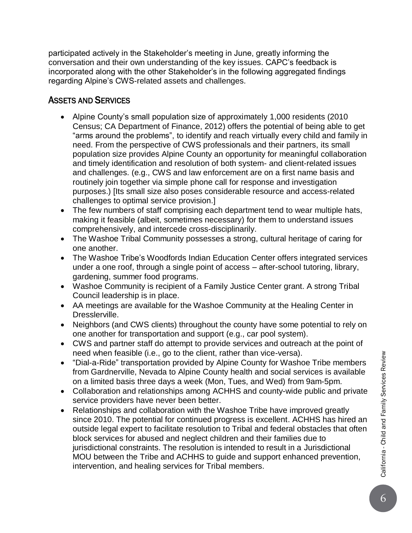participated actively in the Stakeholder's meeting in June, greatly informing the conversation and their own understanding of the key issues. CAPC's feedback is incorporated along with the other Stakeholder's in the following aggregated findings regarding Alpine's CWS-related assets and challenges.

#### ASSETS AND SERVICES

- Alpine County's small population size of approximately 1,000 residents (2010 Census; CA Department of Finance, 2012) offers the potential of being able to get "arms around the problems", to identify and reach virtually every child and family in need. From the perspective of CWS professionals and their partners, its small population size provides Alpine County an opportunity for meaningful collaboration and timely identification and resolution of both system- and client-related issues and challenges. (e.g., CWS and law enforcement are on a first name basis and routinely join together via simple phone call for response and investigation purposes.) [Its small size also poses considerable resource and access-related challenges to optimal service provision.]
- The few numbers of staff comprising each department tend to wear multiple hats, making it feasible (albeit, sometimes necessary) for them to understand issues comprehensively, and intercede cross-disciplinarily.
- The Washoe Tribal Community possesses a strong, cultural heritage of caring for one another.
- The Washoe Tribe's Woodfords Indian Education Center offers integrated services under a one roof, through a single point of access – after-school tutoring, library, gardening, summer food programs.
- Washoe Community is recipient of a Family Justice Center grant. A strong Tribal Council leadership is in place.
- AA meetings are available for the Washoe Community at the Healing Center in Dresslerville.
- Neighbors (and CWS clients) throughout the county have some potential to rely on one another for transportation and support (e.g., car pool system).
- CWS and partner staff do attempt to provide services and outreach at the point of need when feasible (i.e., go to the client, rather than vice-versa).
- "Dial-a-Ride" transportation provided by Alpine County for Washoe Tribe members from Gardnerville, Nevada to Alpine County health and social services is available on a limited basis three days a week (Mon, Tues, and Wed) from 9am-5pm.
- Collaboration and relationships among ACHHS and county-wide public and private service providers have never been better.
- Relationships and collaboration with the Washoe Tribe have improved greatly since 2010. The potential for continued progress is excellent. ACHHS has hired an outside legal expert to facilitate resolution to Tribal and federal obstacles that often block services for abused and neglect children and their families due to jurisdictional constraints. The resolution is intended to result in a Jurisdictional MOU between the Tribe and ACHHS to guide and support enhanced prevention, intervention, and healing services for Tribal members.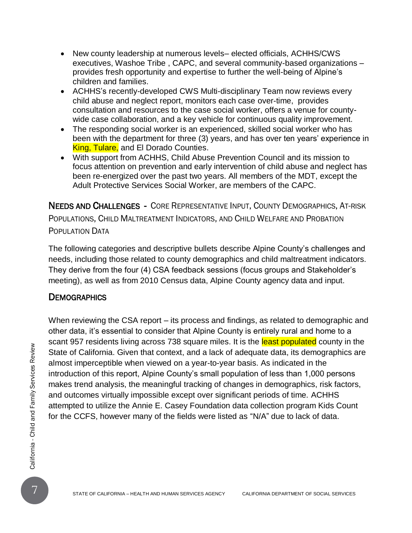- New county leadership at numerous levels– elected officials, ACHHS/CWS executives, Washoe Tribe , CAPC, and several community-based organizations – provides fresh opportunity and expertise to further the well-being of Alpine's children and families.
- ACHHS's recently-developed CWS Multi-disciplinary Team now reviews every child abuse and neglect report, monitors each case over-time, provides consultation and resources to the case social worker, offers a venue for countywide case collaboration, and a key vehicle for continuous quality improvement.
- The responding social worker is an experienced, skilled social worker who has been with the department for three (3) years, and has over ten years' experience in King, Tulare, and El Dorado Counties.
- With support from ACHHS, Child Abuse Prevention Council and its mission to focus attention on prevention and early intervention of child abuse and neglect has been re-energized over the past two years. All members of the MDT, except the Adult Protective Services Social Worker, are members of the CAPC.

NEEDS AND CHALLENGES - CORE REPRESENTATIVE INPUT, COUNTY DEMOGRAPHICS, AT-RISK POPULATIONS, CHILD MALTREATMENT INDICATORS, AND CHILD WELFARE AND PROBATION POPULATION DATA

The following categories and descriptive bullets describe Alpine County's challenges and needs, including those related to county demographics and child maltreatment indicators. They derive from the four (4) CSA feedback sessions (focus groups and Stakeholder's meeting), as well as from 2010 Census data, Alpine County agency data and input.

#### **DEMOGRAPHICS**

State of California. Given that context, and a lack of adequate data, its demographics and almost imperceptible when viewed on a year-to-year basis. As indicated in the introduction of this report, Alpine County's small p When reviewing the CSA report – its process and findings, as related to demographic and other data, it's essential to consider that Alpine County is entirely rural and home to a scant 957 residents living across 738 square miles. It is the least populated county in the State of California. Given that context, and a lack of adequate data, its demographics are almost imperceptible when viewed on a year-to-year basis. As indicated in the introduction of this report, Alpine County's small population of less than 1,000 persons makes trend analysis, the meaningful tracking of changes in demographics, risk factors, and outcomes virtually impossible except over significant periods of time. ACHHS attempted to utilize the Annie E. Casey Foundation data collection program Kids Count for the CCFS, however many of the fields were listed as "N/A" due to lack of data.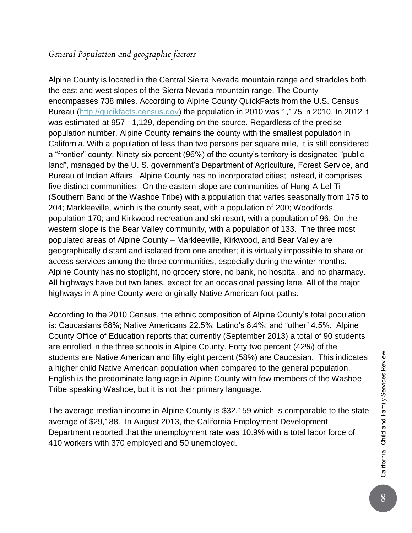#### *General Population and geographic factors*

Alpine County is located in the Central Sierra Nevada mountain range and straddles both the east and west slopes of the Sierra Nevada mountain range. The County encompasses 738 miles. According to Alpine County QuickFacts from the U.S. Census Bureau [\(http://qucikfacts.census.gov\)](http://qucikfacts.census.gov/) the population in 2010 was 1,175 in 2010. In 2012 it was estimated at 957 - 1,129, depending on the source. Regardless of the precise population number, Alpine County remains the county with the smallest population in California. With a population of less than two persons per square mile, it is still considered a "frontier" county. Ninety-six percent (96%) of the county's territory is designated "public land", managed by the U. S. government's Department of Agriculture, Forest Service, and Bureau of Indian Affairs. Alpine County has no incorporated cities; instead, it comprises five distinct communities: On the eastern slope are communities of Hung-A-Lel-Ti (Southern Band of the Washoe Tribe) with a population that varies seasonally from 175 to 204; Markleeville, which is the county seat, with a population of 200; Woodfords, population 170; and Kirkwood recreation and ski resort, with a population of 96. On the western slope is the Bear Valley community, with a population of 133. The three most populated areas of Alpine County – Markleeville, Kirkwood, and Bear Valley are geographically distant and isolated from one another; it is virtually impossible to share or access services among the three communities, especially during the winter months. Alpine County has no stoplight, no grocery store, no bank, no hospital, and no pharmacy. All highways have but two lanes, except for an occasional passing lane. All of the major highways in Alpine County were originally Native American foot paths.

According to the 2010 Census, the ethnic composition of Alpine County's total population is: Caucasians 68%; Native Americans 22.5%; Latino's 8.4%; and "other" 4.5%. Alpine County Office of Education reports that currently (September 2013) a total of 90 students are enrolled in the three schools in Alpine County. Forty two percent (42%) of the students are Native American and fifty eight percent (58%) are Caucasian. This indicates a higher child Native American population when compared to the general population. English is the predominate language in Alpine County with few members of the Washoe Tribe speaking Washoe, but it is not their primary language.

The average median income in Alpine County is \$32,159 which is comparable to the state average of \$29,188. In August 2013, the California Employment Development Department reported that the unemployment rate was 10.9% with a total labor force of 410 workers with 370 employed and 50 unemployed.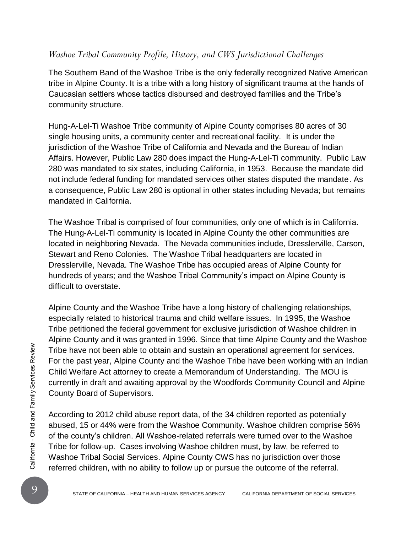#### *Washoe Tribal Community Profile, History, and CWS Jurisdictional Challenges*

The Southern Band of the Washoe Tribe is the only federally recognized Native American tribe in Alpine County. It is a tribe with a long history of significant trauma at the hands of Caucasian settlers whose tactics disbursed and destroyed families and the Tribe's community structure.

Hung-A-Lel-Ti Washoe Tribe community of Alpine County comprises 80 acres of 30 single housing units, a community center and recreational facility. It is under the jurisdiction of the Washoe Tribe of California and Nevada and the Bureau of Indian Affairs. However, Public Law 280 does impact the Hung-A-Lel-Ti community. Public Law 280 was mandated to six states, including California, in 1953. Because the mandate did not include federal funding for mandated services other states disputed the mandate. As a consequence, Public Law 280 is optional in other states including Nevada; but remains mandated in California.

The Washoe Tribal is comprised of four communities, only one of which is in California. The Hung-A-Lel-Ti community is located in Alpine County the other communities are located in neighboring Nevada. The Nevada communities include, Dresslerville, Carson, Stewart and Reno Colonies. The Washoe Tribal headquarters are located in Dresslerville, Nevada. The Washoe Tribe has occupied areas of Alpine County for hundreds of years; and the Washoe Tribal Community's impact on Alpine County is difficult to overstate.

Alpine County and the Washoe Tribe have a long history of challenging relationships, especially related to historical trauma and child welfare issues. In 1995, the Washoe Tribe petitioned the federal government for exclusive jurisdiction of Washoe children in Alpine County and it was granted in 1996. Since that time Alpine County and the Washoe Tribe have not been able to obtain and sustain an operational agreement for services. For the past year, Alpine County and the Washoe Tribe have been working with an Indian Child Welfare Act attorney to create a Memorandum of Understanding. The MOU is currently in draft and awaiting approval by the Woodfords Community Council and Alpine County Board of Supervisors.

Tribe have not been able to obtain and sustain an operational agreement for services.<br>
For the past year, Alpine County and the Washoe Tribe have been working with an Inc.<br>
Child Welfare Act attorney to create a Memorandu According to 2012 child abuse report data, of the 34 children reported as potentially abused, 15 or 44% were from the Washoe Community. Washoe children comprise 56% of the county's children. All Washoe-related referrals were turned over to the Washoe Tribe for follow-up. Cases involving Washoe children must, by law, be referred to Washoe Tribal Social Services. Alpine County CWS has no jurisdiction over those referred children, with no ability to follow up or pursue the outcome of the referral.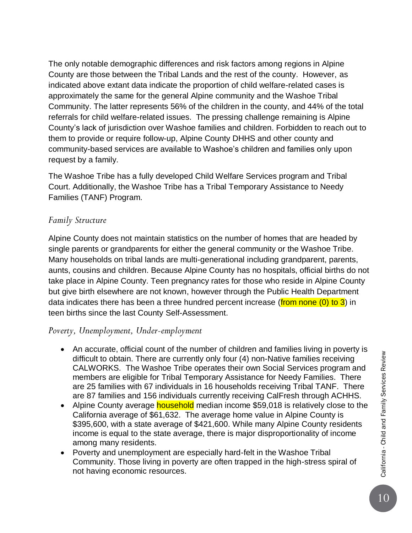The only notable demographic differences and risk factors among regions in Alpine County are those between the Tribal Lands and the rest of the county. However, as indicated above extant data indicate the proportion of child welfare-related cases is approximately the same for the general Alpine community and the Washoe Tribal Community. The latter represents 56% of the children in the county, and 44% of the total referrals for child welfare-related issues. The pressing challenge remaining is Alpine County's lack of jurisdiction over Washoe families and children. Forbidden to reach out to them to provide or require follow-up, Alpine County DHHS and other county and community-based services are available to Washoe's children and families only upon request by a family.

The Washoe Tribe has a fully developed Child Welfare Services program and Tribal Court. Additionally, the Washoe Tribe has a Tribal Temporary Assistance to Needy Families (TANF) Program.

#### *Family Structure*

Alpine County does not maintain statistics on the number of homes that are headed by single parents or grandparents for either the general community or the Washoe Tribe. Many households on tribal lands are multi-generational including grandparent, parents, aunts, cousins and children. Because Alpine County has no hospitals, official births do not take place in Alpine County. Teen pregnancy rates for those who reside in Alpine County but give birth elsewhere are not known, however through the Public Health Department data indicates there has been a three hundred percent increase (from none (0) to 3) in teen births since the last County Self-Assessment.

#### *Poverty, Unemployment, Under-employment*

- An accurate, official count of the number of children and families living in poverty is difficult to obtain. There are currently only four (4) non-Native families receiving CALWORKS. The Washoe Tribe operates their own Social Services program and members are eligible for Tribal Temporary Assistance for Needy Families. There are 25 families with 67 individuals in 16 households receiving Tribal TANF. There are 87 families and 156 individuals currently receiving CalFresh through ACHHS.
- Alpine County average **household** median income \$59,018 is relatively close to the California average of \$61,632. The average home value in Alpine County is \$395,600, with a state average of \$421,600. While many Alpine County residents income is equal to the state average, there is major disproportionality of income among many residents.
- Poverty and unemployment are especially hard-felt in the Washoe Tribal Community. Those living in poverty are often trapped in the high-stress spiral of not having economic resources.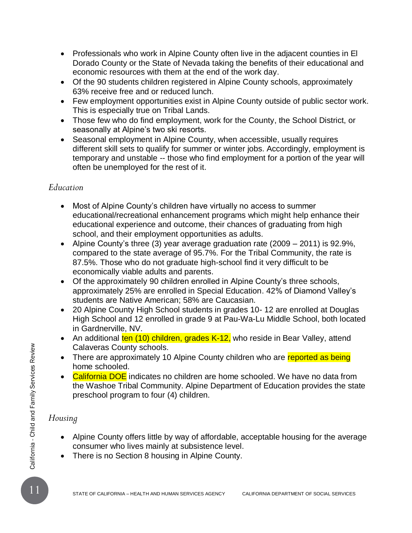- Professionals who work in Alpine County often live in the adjacent counties in El Dorado County or the State of Nevada taking the benefits of their educational and economic resources with them at the end of the work day.
- Of the 90 students children registered in Alpine County schools, approximately 63% receive free and or reduced lunch.
- Few employment opportunities exist in Alpine County outside of public sector work. This is especially true on Tribal Lands.
- Those few who do find employment, work for the County, the School District, or seasonally at Alpine's two ski resorts.
- Seasonal employment in Alpine County, when accessible, usually requires different skill sets to qualify for summer or winter jobs. Accordingly, employment is temporary and unstable -- those who find employment for a portion of the year will often be unemployed for the rest of it.

#### *Education*

- Most of Alpine County's children have virtually no access to summer educational/recreational enhancement programs which might help enhance their educational experience and outcome, their chances of graduating from high school, and their employment opportunities as adults.
- Alpine County's three (3) year average graduation rate (2009 2011) is 92.9%, compared to the state average of 95.7%. For the Tribal Community, the rate is 87.5%. Those who do not graduate high-school find it very difficult to be economically viable adults and parents.
- Of the approximately 90 children enrolled in Alpine County's three schools, approximately 25% are enrolled in Special Education. 42% of Diamond Valley's students are Native American; 58% are Caucasian.
- 20 Alpine County High School students in grades 10- 12 are enrolled at Douglas High School and 12 enrolled in grade 9 at Pau-Wa-Lu Middle School, both located in Gardnerville, NV.
- An additional ten (10) children, grades K-12, who reside in Bear Valley, attend Calaveras County schools.
- There are approximately 10 Alpine County children who are reported as being home schooled.
- Calaveras County schools.<br>
 There are approximately 10 Alpine County children who are **reported as being**<br>  **California DOE** indicates no children are home schooled. We have no data from<br>
the Washoe Tribal Community. Alp • California DOE indicates no children are home schooled. We have no data from the Washoe Tribal Community. Alpine Department of Education provides the state preschool program to four (4) children.

#### *Housing*

- Alpine County offers little by way of affordable, acceptable housing for the average consumer who lives mainly at subsistence level.
- There is no Section 8 housing in Alpine County.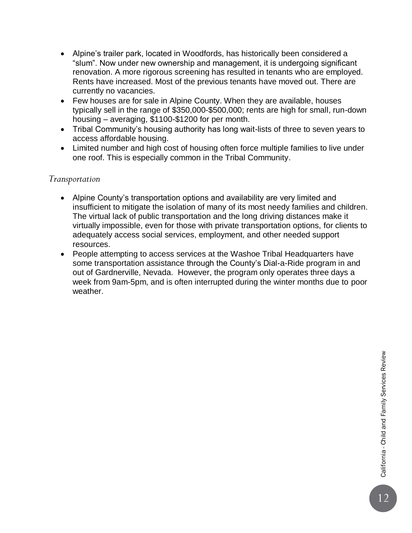- Alpine's trailer park, located in Woodfords, has historically been considered a "slum". Now under new ownership and management, it is undergoing significant renovation. A more rigorous screening has resulted in tenants who are employed. Rents have increased. Most of the previous tenants have moved out. There are currently no vacancies.
- Few houses are for sale in Alpine County. When they are available, houses typically sell in the range of \$350,000-\$500,000; rents are high for small, run-down housing – averaging, \$1100-\$1200 for per month.
- Tribal Community's housing authority has long wait-lists of three to seven years to access affordable housing.
- Limited number and high cost of housing often force multiple families to live under one roof. This is especially common in the Tribal Community.

#### *Transportation*

- Alpine County's transportation options and availability are very limited and insufficient to mitigate the isolation of many of its most needy families and children. The virtual lack of public transportation and the long driving distances make it virtually impossible, even for those with private transportation options, for clients to adequately access social services, employment, and other needed support resources.
- People attempting to access services at the Washoe Tribal Headquarters have some transportation assistance through the County's Dial-a-Ride program in and out of Gardnerville, Nevada. However, the program only operates three days a week from 9am-5pm, and is often interrupted during the winter months due to poor weather.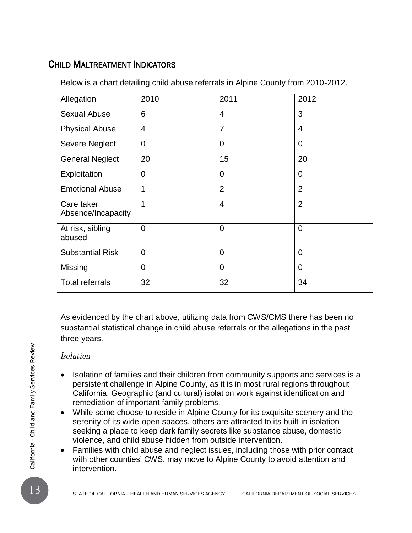### CHILD MALTREATMENT INDICATORS

| Allegation                       | 2010           | 2011           | 2012           |
|----------------------------------|----------------|----------------|----------------|
| <b>Sexual Abuse</b>              | 6              | $\overline{4}$ | 3              |
| <b>Physical Abuse</b>            | $\overline{4}$ | $\overline{7}$ | $\overline{4}$ |
| <b>Severe Neglect</b>            | $\mathbf 0$    | $\overline{0}$ | $\overline{0}$ |
| <b>General Neglect</b>           | 20             | 15             | 20             |
| Exploitation                     | $\overline{0}$ | $\overline{0}$ | $\overline{0}$ |
| <b>Emotional Abuse</b>           | 1              | $\overline{2}$ | $\overline{2}$ |
| Care taker<br>Absence/Incapacity | 1              | $\overline{4}$ | $\overline{2}$ |
| At risk, sibling<br>abused       | $\overline{0}$ | $\Omega$       | $\overline{0}$ |
| <b>Substantial Risk</b>          | $\overline{0}$ | $\Omega$       | $\overline{0}$ |
| Missing                          | $\overline{0}$ | $\overline{0}$ | $\overline{0}$ |
| <b>Total referrals</b>           | 32             | 32             | 34             |

Below is a chart detailing child abuse referrals in Alpine County from 2010-2012.

As evidenced by the chart above, utilizing data from CWS/CMS there has been no substantial statistical change in child abuse referrals or the allegations in the past three years.

#### *Isolation*

- Isolation<br>
13 Solation of families and their children from community supports and services is<br>
bersistent challenge in Alpine County, as it is in most rural regions throughout<br>
California. Geographic (and cultural) isolat Isolation of families and their children from community supports and services is a persistent challenge in Alpine County, as it is in most rural regions throughout California. Geographic (and cultural) isolation work against identification and remediation of important family problems.
	- While some choose to reside in Alpine County for its exquisite scenery and the serenity of its wide-open spaces, others are attracted to its built-in isolation - seeking a place to keep dark family secrets like substance abuse, domestic violence, and child abuse hidden from outside intervention.
	- Families with child abuse and neglect issues, including those with prior contact with other counties' CWS, may move to Alpine County to avoid attention and intervention.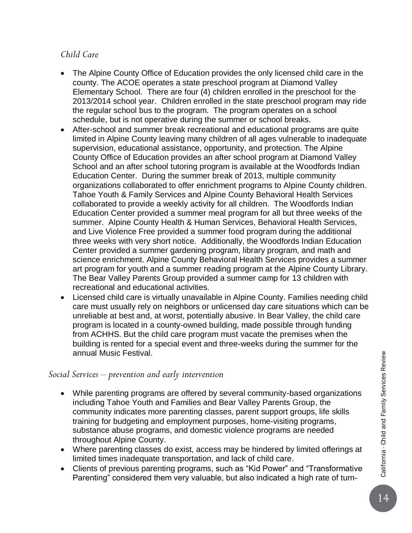#### *Child Care*

- The Alpine County Office of Education provides the only licensed child care in the county. The ACOE operates a state preschool program at Diamond Valley Elementary School. There are four (4) children enrolled in the preschool for the 2013/2014 school year. Children enrolled in the state preschool program may ride the regular school bus to the program. The program operates on a school schedule, but is not operative during the summer or school breaks.
- After-school and summer break recreational and educational programs are quite limited in Alpine County leaving many children of all ages vulnerable to inadequate supervision, educational assistance, opportunity, and protection. The Alpine County Office of Education provides an after school program at Diamond Valley School and an after school tutoring program is available at the Woodfords Indian Education Center. During the summer break of 2013, multiple community organizations collaborated to offer enrichment programs to Alpine County children. Tahoe Youth & Family Services and Alpine County Behavioral Health Services collaborated to provide a weekly activity for all children. The Woodfords Indian Education Center provided a summer meal program for all but three weeks of the summer. Alpine County Health & Human Services, Behavioral Health Services, and Live Violence Free provided a summer food program during the additional three weeks with very short notice. Additionally, the Woodfords Indian Education Center provided a summer gardening program, library program, and math and science enrichment. Alpine County Behavioral Health Services provides a summer art program for youth and a summer reading program at the Alpine County Library. The Bear Valley Parents Group provided a summer camp for 13 children with recreational and educational activities.
- Licensed child care is virtually unavailable in Alpine County. Families needing child care must usually rely on neighbors or unlicensed day care situations which can be unreliable at best and, at worst, potentially abusive. In Bear Valley, the child care program is located in a county-owned building, made possible through funding from ACHHS. But the child care program must vacate the premises when the building is rented for a special event and three-weeks during the summer for the annual Music Festival.

#### *Social Services – prevention and early intervention*

- While parenting programs are offered by several community-based organizations including Tahoe Youth and Families and Bear Valley Parents Group, the community indicates more parenting classes, parent support groups, life skills training for budgeting and employment purposes, home-visiting programs, substance abuse programs, and domestic violence programs are needed throughout Alpine County.
- Where parenting classes do exist, access may be hindered by limited offerings at limited times inadequate transportation, and lack of child care.
- Clients of previous parenting programs, such as "Kid Power" and "Transformative Parenting" considered them very valuable, but also indicated a high rate of turn-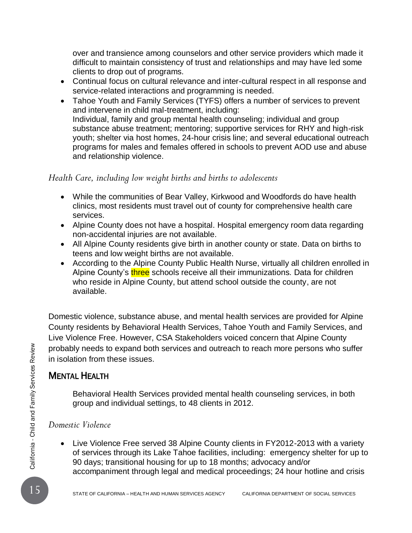over and transience among counselors and other service providers which made it difficult to maintain consistency of trust and relationships and may have led some clients to drop out of programs.

- Continual focus on cultural relevance and inter-cultural respect in all response and service-related interactions and programming is needed.
- Tahoe Youth and Family Services (TYFS) offers a number of services to prevent and intervene in child mal-treatment, including: Individual, family and group mental health counseling; individual and group substance abuse treatment; mentoring; supportive services for RHY and high-risk youth; shelter via host homes, 24-hour crisis line; and several educational outreach programs for males and females offered in schools to prevent AOD use and abuse and relationship violence.

#### *Health Care, including low weight births and births to adolescents*

- While the communities of Bear Valley, Kirkwood and Woodfords do have health clinics, most residents must travel out of county for comprehensive health care services.
- Alpine County does not have a hospital. Hospital emergency room data regarding non-accidental injuries are not available.
- All Alpine County residents give birth in another county or state. Data on births to teens and low weight births are not available.
- According to the Alpine County Public Health Nurse, virtually all children enrolled in Alpine County's three schools receive all their immunizations. Data for children who reside in Alpine County, but attend school outside the county, are not available.

Domestic violence, substance abuse, and mental health services are provided for Alpine County residents by Behavioral Health Services, Tahoe Youth and Family Services, and Live Violence Free. However, CSA Stakeholders voiced concern that Alpine County probably needs to expand both services and outreach to reach more persons who suffer in isolation from these issues.

### MENTAL HEALTH

Behavioral Health Services provided mental health counseling services, in both group and individual settings, to 48 clients in 2012.

#### *Domestic Violence*

Probably needs to expand both services and outreach to reach more persons who suff<br>
in isolation from these issues.<br>
MENTAL HEALTH<br>
Behavioral Health Services provided mental health counseling services, in both<br>
group and • Live Violence Free served 38 Alpine County clients in FY2012-2013 with a variety of services through its Lake Tahoe facilities, including: emergency shelter for up to 90 days; transitional housing for up to 18 months; advocacy and/or accompaniment through legal and medical proceedings; 24 hour hotline and crisis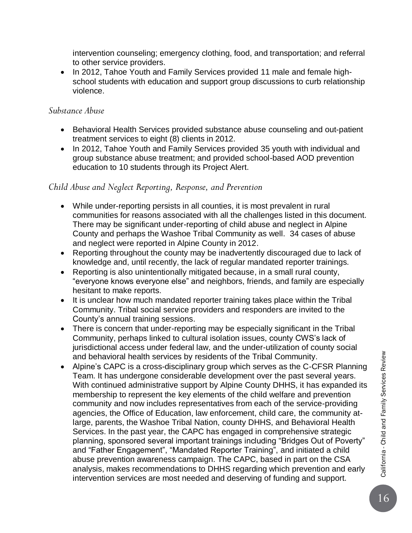intervention counseling; emergency clothing, food, and transportation; and referral to other service providers.

• In 2012, Tahoe Youth and Family Services provided 11 male and female highschool students with education and support group discussions to curb relationship violence.

#### *Substance Abuse*

- Behavioral Health Services provided substance abuse counseling and out-patient treatment services to eight (8) clients in 2012.
- In 2012, Tahoe Youth and Family Services provided 35 youth with individual and group substance abuse treatment; and provided school-based AOD prevention education to 10 students through its Project Alert.

#### *Child Abuse and Neglect Reporting, Response, and Prevention*

- While under-reporting persists in all counties, it is most prevalent in rural communities for reasons associated with all the challenges listed in this document. There may be significant under-reporting of child abuse and neglect in Alpine County and perhaps the Washoe Tribal Community as well. 34 cases of abuse and neglect were reported in Alpine County in 2012.
- Reporting throughout the county may be inadvertently discouraged due to lack of knowledge and, until recently, the lack of regular mandated reporter trainings.
- Reporting is also unintentionally mitigated because, in a small rural county, "everyone knows everyone else" and neighbors, friends, and family are especially hesitant to make reports.
- It is unclear how much mandated reporter training takes place within the Tribal Community. Tribal social service providers and responders are invited to the County's annual training sessions.
- There is concern that under-reporting may be especially significant in the Tribal Community, perhaps linked to cultural isolation issues, county CWS's lack of jurisdictional access under federal law, and the under-utilization of county social and behavioral health services by residents of the Tribal Community.
- Alpine's CAPC is a cross-disciplinary group which serves as the C-CFSR Planning Team. It has undergone considerable development over the past several years. With continued administrative support by Alpine County DHHS, it has expanded its membership to represent the key elements of the child welfare and prevention community and now includes representatives from each of the service-providing agencies, the Office of Education, law enforcement, child care, the community atlarge, parents, the Washoe Tribal Nation, county DHHS, and Behavioral Health Services. In the past year, the CAPC has engaged in comprehensive strategic planning, sponsored several important trainings including "Bridges Out of Poverty" and "Father Engagement", "Mandated Reporter Training", and initiated a child abuse prevention awareness campaign. The CAPC, based in part on the CSA analysis, makes recommendations to DHHS regarding which prevention and early intervention services are most needed and deserving of funding and support.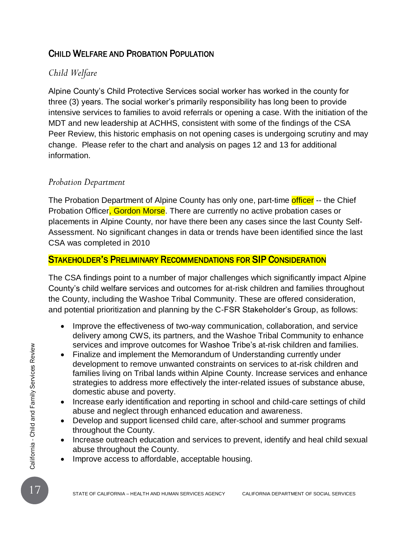### CHILD WELFARE AND PROBATION POPULATION

### *Child Welfare*

Alpine County's Child Protective Services social worker has worked in the county for three (3) years. The social worker's primarily responsibility has long been to provide intensive services to families to avoid referrals or opening a case. With the initiation of the MDT and new leadership at ACHHS, consistent with some of the findings of the CSA Peer Review, this historic emphasis on not opening cases is undergoing scrutiny and may change. Please refer to the chart and analysis on pages 12 and 13 for additional information.

#### *Probation Department*

The Probation Department of Alpine County has only one, part-time officer -- the Chief Probation Officer, Gordon Morse. There are currently no active probation cases or placements in Alpine County, nor have there been any cases since the last County Self-Assessment. No significant changes in data or trends have been identified since the last CSA was completed in 2010

#### STAKEHOLDER'S PRELIMINARY RECOMMENDATIONS FOR SIP CONSIDERATION

The CSA findings point to a number of major challenges which significantly impact Alpine County's child welfare services and outcomes for at-risk children and families throughout the County, including the Washoe Tribal Community. These are offered consideration, and potential prioritization and planning by the C-FSR Stakeholder's Group, as follows:

- Improve the effectiveness of two-way communication, collaboration, and service delivery among CWS, its partners, and the Washoe Tribal Community to enhance services and improve outcomes for Washoe Tribe's at-risk children and families.
- SETTRIZE and improve outcomes for Washoe Tribe's at-risk children and families<br>
development to remove unwarted constraints on services to at-risk children and<br>
families living on Tribal lands within Alpine County. Increas Finalize and implement the Memorandum of Understanding currently under development to remove unwanted constraints on services to at-risk children and families living on Tribal lands within Alpine County. Increase services and enhance strategies to address more effectively the inter-related issues of substance abuse, domestic abuse and poverty.
	- Increase early identification and reporting in school and child-care settings of child abuse and neglect through enhanced education and awareness.
	- Develop and support licensed child care, after-school and summer programs throughout the County.
	- Increase outreach education and services to prevent, identify and heal child sexual abuse throughout the County.
	- Improve access to affordable, acceptable housing.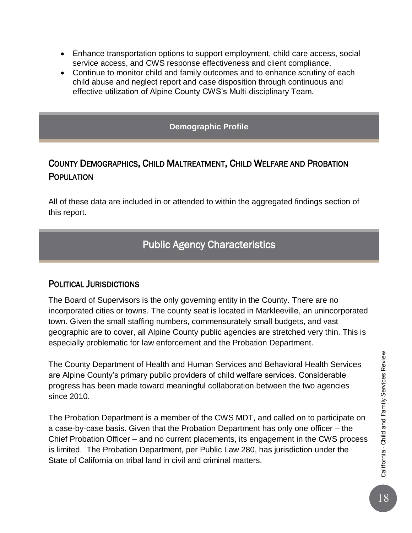- Enhance transportation options to support employment, child care access, social service access, and CWS response effectiveness and client compliance.
- Continue to monitor child and family outcomes and to enhance scrutiny of each child abuse and neglect report and case disposition through continuous and effective utilization of Alpine County CWS's Multi-disciplinary Team.

**Demographic Profile**

### COUNTY DEMOGRAPHICS, CHILD MALTREATMENT, CHILD WELFARE AND PROBATION **POPULATION**

All of these data are included in or attended to within the aggregated findings section of this report.

# Public Agency Characteristics

#### POLITICAL JURISDICTIONS

The Board of Supervisors is the only governing entity in the County. There are no incorporated cities or towns. The county seat is located in Markleeville, an unincorporated town. Given the small staffing numbers, commensurately small budgets, and vast geographic are to cover, all Alpine County public agencies are stretched very thin. This is especially problematic for law enforcement and the Probation Department.

The County Department of Health and Human Services and Behavioral Health Services are Alpine County's primary public providers of child welfare services. Considerable progress has been made toward meaningful collaboration between the two agencies since 2010.

The Probation Department is a member of the CWS MDT, and called on to participate on a case-by-case basis. Given that the Probation Department has only one officer – the Chief Probation Officer – and no current placements, its engagement in the CWS process is limited. The Probation Department, per Public Law 280, has jurisdiction under the State of California on tribal land in civil and criminal matters.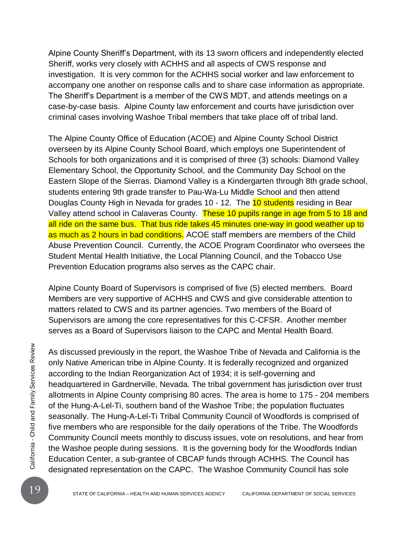Alpine County Sheriff's Department, with its 13 sworn officers and independently elected Sheriff, works very closely with ACHHS and all aspects of CWS response and investigation. It is very common for the ACHHS social worker and law enforcement to accompany one another on response calls and to share case information as appropriate. The Sheriff's Department is a member of the CWS MDT, and attends meetings on a case-by-case basis. Alpine County law enforcement and courts have jurisdiction over criminal cases involving Washoe Tribal members that take place off of tribal land.

The Alpine County Office of Education (ACOE) and Alpine County School District overseen by its Alpine County School Board, which employs one Superintendent of Schools for both organizations and it is comprised of three (3) schools: Diamond Valley Elementary School, the Opportunity School, and the Community Day School on the Eastern Slope of the Sierras. Diamond Valley is a Kindergarten through 8th grade school, students entering 9th grade transfer to Pau-Wa-Lu Middle School and then attend Douglas County High in Nevada for grades 10 - 12. The 10 students residing in Bear Valley attend school in Calaveras County. These 10 pupils range in age from 5 to 18 and all ride on the same bus. That bus ride takes 45 minutes one-way in good weather up to as much as 2 hours in bad conditions. ACOE staff members are members of the Child Abuse Prevention Council. Currently, the ACOE Program Coordinator who oversees the Student Mental Health Initiative, the Local Planning Council, and the Tobacco Use Prevention Education programs also serves as the CAPC chair.

Alpine County Board of Supervisors is comprised of five (5) elected members. Board Members are very supportive of ACHHS and CWS and give considerable attention to matters related to CWS and its partner agencies. Two members of the Board of Supervisors are among the core representatives for this C-CFSR. Another member serves as a Board of Supervisors liaison to the CAPC and Mental Health Board.

As discussed previously in the report, the Washoe Tribe of Nevada and California is the only Native American tribe in Alpine County. It is federally recognized and organized according to the Indian Reorganization Act of 1 As discussed previously in the report, the Washoe Tribe of Nevada and California is the only Native American tribe in Alpine County. It is federally recognized and organized according to the Indian Reorganization Act of 1934; it is self-governing and headquartered in Gardnerville, Nevada. The tribal government has jurisdiction over trust allotments in Alpine County comprising 80 acres. The area is home to 175 - 204 members of the Hung-A-Lel-Ti, southern band of the Washoe Tribe; the population fluctuates seasonally. The Hung-A-Lel-Ti Tribal Community Council of Woodfords is comprised of five members who are responsible for the daily operations of the Tribe. The Woodfords Community Council meets monthly to discuss issues, vote on resolutions, and hear from the Washoe people during sessions. It is the governing body for the Woodfords Indian Education Center, a sub-grantee of CBCAP funds through ACHHS. The Council has designated representation on the CAPC. The Washoe Community Council has sole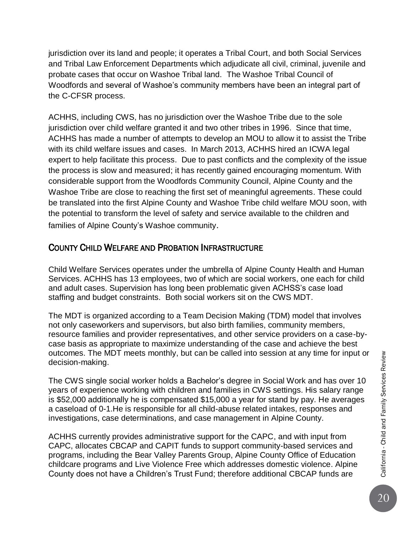jurisdiction over its land and people; it operates a Tribal Court, and both Social Services and Tribal Law Enforcement Departments which adjudicate all civil, criminal, juvenile and probate cases that occur on Washoe Tribal land. The Washoe Tribal Council of Woodfords and several of Washoe's community members have been an integral part of the C-CFSR process.

ACHHS, including CWS, has no jurisdiction over the Washoe Tribe due to the sole jurisdiction over child welfare granted it and two other tribes in 1996. Since that time, ACHHS has made a number of attempts to develop an MOU to allow it to assist the Tribe with its child welfare issues and cases. In March 2013, ACHHS hired an ICWA legal expert to help facilitate this process. Due to past conflicts and the complexity of the issue the process is slow and measured; it has recently gained encouraging momentum. With considerable support from the Woodfords Community Council, Alpine County and the Washoe Tribe are close to reaching the first set of meaningful agreements. These could be translated into the first Alpine County and Washoe Tribe child welfare MOU soon, with the potential to transform the level of safety and service available to the children and families of Alpine County's Washoe community.

#### COUNTY CHILD WELFARE AND PROBATION INFRASTRUCTURE

Child Welfare Services operates under the umbrella of Alpine County Health and Human Services. ACHHS has 13 employees, two of which are social workers, one each for child and adult cases. Supervision has long been problematic given ACHSS's case load staffing and budget constraints. Both social workers sit on the CWS MDT.

The MDT is organized according to a Team Decision Making (TDM) model that involves not only caseworkers and supervisors, but also birth families, community members, resource families and provider representatives, and other service providers on a case-bycase basis as appropriate to maximize understanding of the case and achieve the best outcomes. The MDT meets monthly, but can be called into session at any time for input or decision-making.

The CWS single social worker holds a Bachelor's degree in Social Work and has over 10 years of experience working with children and families in CWS settings. His salary range is \$52,000 additionally he is compensated \$15,000 a year for stand by pay. He averages a caseload of 0-1.He is responsible for all child-abuse related intakes, responses and investigations, case determinations, and case management in Alpine County.

ACHHS currently provides administrative support for the CAPC, and with input from CAPC, allocates CBCAP and CAPIT funds to support community-based services and programs, including the Bear Valley Parents Group, Alpine County Office of Education childcare programs and Live Violence Free which addresses domestic violence. Alpine County does not have a Children's Trust Fund; therefore additional CBCAP funds are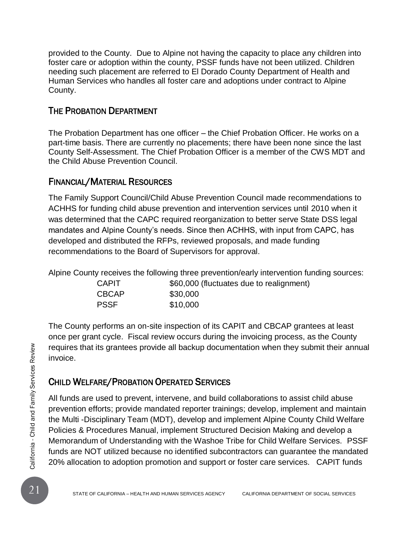provided to the County. Due to Alpine not having the capacity to place any children into foster care or adoption within the county, PSSF funds have not been utilized. Children needing such placement are referred to El Dorado County Department of Health and Human Services who handles all foster care and adoptions under contract to Alpine County.

#### THE PROBATION DEPARTMENT

The Probation Department has one officer – the Chief Probation Officer. He works on a part-time basis. There are currently no placements; there have been none since the last County Self-Assessment. The Chief Probation Officer is a member of the CWS MDT and the Child Abuse Prevention Council.

### FINANCIAL/MATERIAL RESOURCES

The Family Support Council/Child Abuse Prevention Council made recommendations to ACHHS for funding child abuse prevention and intervention services until 2010 when it was determined that the CAPC required reorganization to better serve State DSS legal mandates and Alpine County's needs. Since then ACHHS, with input from CAPC, has developed and distributed the RFPs, reviewed proposals, and made funding recommendations to the Board of Supervisors for approval.

Alpine County receives the following three prevention/early intervention funding sources:

| <b>CAPIT</b> | \$60,000 (fluctuates due to realignment) |  |
|--------------|------------------------------------------|--|
| <b>CBCAP</b> | \$30,000                                 |  |
| <b>PSSF</b>  | \$10,000                                 |  |

The County performs an on-site inspection of its CAPIT and CBCAP grantees at least once per grant cycle. Fiscal review occurs during the invoicing process, as the County requires that its grantees provide all backup documentation when they submit their annual invoice.

### CHILD WELFARE/PROBATION OPERATED SERVICES

Frame that its grantees provide all backup documentation when they submit their and<br>invoice.<br>
21 STATE OF CHILD WELFARE/PROBATION OPERATED SERVICES<br>
21 EVALUA STATE OF CHILD WELFARE/PROBATION OPERATED SERVICES<br>
21 EVALUA S All funds are used to prevent, intervene, and build collaborations to assist child abuse prevention efforts; provide mandated reporter trainings; develop, implement and maintain the Multi -Disciplinary Team (MDT), develop and implement Alpine County Child Welfare Policies & Procedures Manual, implement Structured Decision Making and develop a Memorandum of Understanding with the Washoe Tribe for Child Welfare Services. PSSF funds are NOT utilized because no identified subcontractors can guarantee the mandated 20% allocation to adoption promotion and support or foster care services. CAPIT funds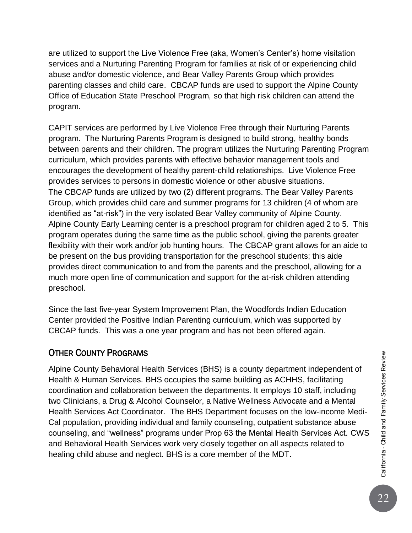are utilized to support the Live Violence Free (aka, Women's Center's) home visitation services and a Nurturing Parenting Program for families at risk of or experiencing child abuse and/or domestic violence, and Bear Valley Parents Group which provides parenting classes and child care. CBCAP funds are used to support the Alpine County Office of Education State Preschool Program, so that high risk children can attend the program.

CAPIT services are performed by Live Violence Free through their Nurturing Parents program. The Nurturing Parents Program is designed to build strong, healthy bonds between parents and their children. The program utilizes the Nurturing Parenting Program curriculum, which provides parents with effective behavior management tools and encourages the development of healthy parent-child relationships. Live Violence Free provides services to persons in domestic violence or other abusive situations. The CBCAP funds are utilized by two (2) different programs. The Bear Valley Parents Group, which provides child care and summer programs for 13 children (4 of whom are identified as "at-risk") in the very isolated Bear Valley community of Alpine County. Alpine County Early Learning center is a preschool program for children aged 2 to 5. This program operates during the same time as the public school, giving the parents greater flexibility with their work and/or job hunting hours. The CBCAP grant allows for an aide to be present on the bus providing transportation for the preschool students; this aide provides direct communication to and from the parents and the preschool, allowing for a much more open line of communication and support for the at-risk children attending preschool.

Since the last five-year System Improvement Plan, the Woodfords Indian Education Center provided the Positive Indian Parenting curriculum, which was supported by CBCAP funds. This was a one year program and has not been offered again.

### OTHER COUNTY PROGRAMS

Alpine County Behavioral Health Services (BHS) is a county department independent of Health & Human Services. BHS occupies the same building as ACHHS, facilitating coordination and collaboration between the departments. It employs 10 staff, including two Clinicians, a Drug & Alcohol Counselor, a Native Wellness Advocate and a Mental Health Services Act Coordinator. The BHS Department focuses on the low-income Medi-Cal population, providing individual and family counseling, outpatient substance abuse counseling, and "wellness" programs under Prop 63 the Mental Health Services Act. CWS and Behavioral Health Services work very closely together on all aspects related to healing child abuse and neglect. BHS is a core member of the MDT.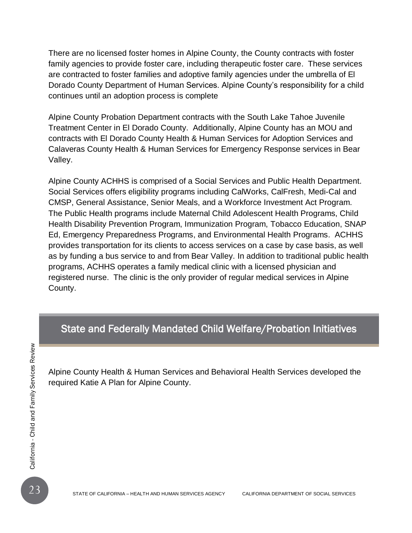There are no licensed foster homes in Alpine County, the County contracts with foster family agencies to provide foster care, including therapeutic foster care. These services are contracted to foster families and adoptive family agencies under the umbrella of El Dorado County Department of Human Services. Alpine County's responsibility for a child continues until an adoption process is complete

Alpine County Probation Department contracts with the South Lake Tahoe Juvenile Treatment Center in El Dorado County. Additionally, Alpine County has an MOU and contracts with El Dorado County Health & Human Services for Adoption Services and Calaveras County Health & Human Services for Emergency Response services in Bear Valley.

Alpine County ACHHS is comprised of a Social Services and Public Health Department. Social Services offers eligibility programs including CalWorks, CalFresh, Medi-Cal and CMSP, General Assistance, Senior Meals, and a Workforce Investment Act Program. The Public Health programs include Maternal Child Adolescent Health Programs, Child Health Disability Prevention Program, Immunization Program, Tobacco Education, SNAP Ed, Emergency Preparedness Programs, and Environmental Health Programs. ACHHS provides transportation for its clients to access services on a case by case basis, as well as by funding a bus service to and from Bear Valley. In addition to traditional public health programs, ACHHS operates a family medical clinic with a licensed physician and registered nurse. The clinic is the only provider of regular medical services in Alpine County.

#### State and Federally Mandated Child Welfare/Probation Initiatives

23 Alpine County Health & Human Services and Behavioral Health Services developed th<br>
required Katie A Plan for Alpine County.<br>
Figure 2<br>
23 STATE OF CALIFORNIA – HEALTH AND HUMAN SERVICES AGENCY CALIFORNIA DEPARTMENT OF S Alpine County Health & Human Services and Behavioral Health Services developed the required Katie A Plan for Alpine County.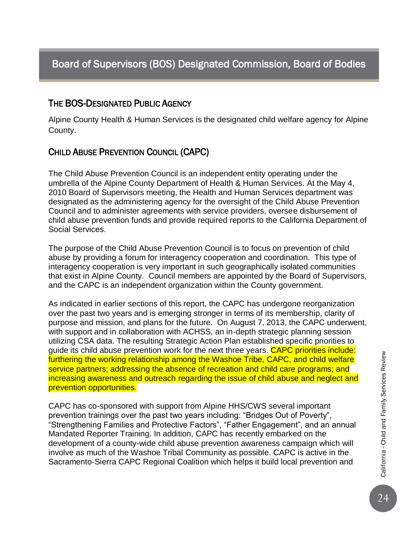### Board of Supervisors (BOS) Designated Commission, Board of Bodies

#### THE BOS-DESIGNATED PUBLIC AGENCY

Alpine County Health & Human Services is the designated child welfare agency for Alpine County.

#### CHILD ABUSE PREVENTION COUNCIL (CAPC)

The Child Abuse Prevention Council is an independent entity operating under the umbrella of the Alpine County Department of Health & Human Services. At the May 4, 2010 Board of Supervisors meeting, the Health and Human Services department was designated as the administering agency for the oversight of the Child Abuse Prevention Council and to administer agreements with service providers, oversee disbursement of child abuse prevention funds and provide required reports to the California Department of Social Services.

The purpose of the Child Abuse Prevention Council is to focus on prevention of child abuse by providing a forum for interagency cooperation and coordination. This type of interagency cooperation is very important in such geographically isolated communities that exist in Alpine County. Council members are appointed by the Board of Supervisors, and the CAPC is an independent organization within the County government.

As indicated in earlier sections of this report, the CAPC has undergone reorganization over the past two years and is emerging stronger in terms of its membership, clarity of purpose and mission, and plans for the future. On August 7, 2013, the CAPC underwent, with support and in collaboration with ACHSS, an in-depth strategic planning session utilizing CSA data. The resulting Strategic Action Plan established specific priorities to guide its child abuse prevention work for the next three years. CAPC priorities include: furthering the working relationship among the Washoe Tribe, CAPC, and child welfare service partners; addressing the absence of recreation and child care programs; and increasing awareness and outreach regarding the issue of child abuse and neglect and prevention opportunities.

CAPC has co-sponsored with support from Alpine HHS/CWS several important prevention trainings over the past two years including: "Bridges Out of Poverty", "Strengthening Families and Protective Factors", "Father Engagement", and an annual Mandated Reporter Training. In addition, CAPC has recently embarked on the development of a county-wide child abuse prevention awareness campaign which will involve as much of the Washoe Tribal Community as possible. CAPC is active in the Sacramento-Sierra CAPC Regional Coalition which helps it build local prevention and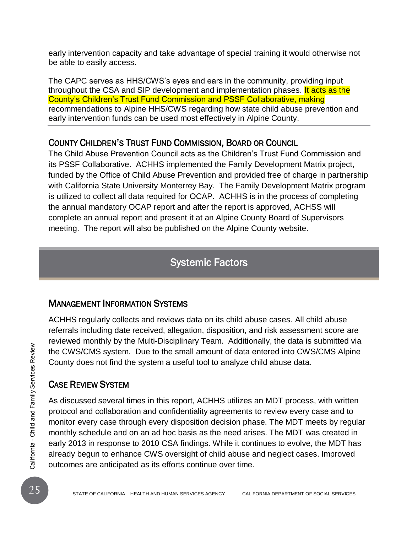early intervention capacity and take advantage of special training it would otherwise not be able to easily access.

The CAPC serves as HHS/CWS's eyes and ears in the community, providing input throughout the CSA and SIP development and implementation phases. It acts as the County's Children's Trust Fund Commission and PSSF Collaborative, making recommendations to Alpine HHS/CWS regarding how state child abuse prevention and early intervention funds can be used most effectively in Alpine County.

#### COUNTY CHILDREN'S TRUST FUND COMMISSION, BOARD OR COUNCIL

The Child Abuse Prevention Council acts as the Children's Trust Fund Commission and its PSSF Collaborative. ACHHS implemented the Family Development Matrix project, funded by the Office of Child Abuse Prevention and provided free of charge in partnership with California State University Monterrey Bay. The Family Development Matrix program is utilized to collect all data required for OCAP. ACHHS is in the process of completing the annual mandatory OCAP report and after the report is approved, ACHSS will complete an annual report and present it at an Alpine County Board of Supervisors meeting. The report will also be published on the Alpine County website.

### Systemic Factors

### MANAGEMENT INFORMATION SYSTEMS

ACHHS regularly collects and reviews data on its child abuse cases. All child abuse referrals including date received, allegation, disposition, and risk assessment score are reviewed monthly by the Multi-Disciplinary Team. Additionally, the data is submitted via the CWS/CMS system. Due to the small amount of data entered into CWS/CMS Alpine County does not find the system a useful tool to analyze child abuse data.

### CASE REVIEW SYSTEM

THE CALIFORNIA – HEALTH AND HUMAN SERVICES AGENCY<br>
25 STATE OF CALIFORNIA – HEALTH AND HUMAN SERVICES AGENCY CALIFORNIA DEPITED AND TO THE CALIFORNIA SURVICES AGENCY CASE REVIEW SYSTEM<br>
As discussed several times in this r As discussed several times in this report, ACHHS utilizes an MDT process, with written protocol and collaboration and confidentiality agreements to review every case and to monitor every case through every disposition decision phase. The MDT meets by regular monthly schedule and on an ad hoc basis as the need arises. The MDT was created in early 2013 in response to 2010 CSA findings. While it continues to evolve, the MDT has already begun to enhance CWS oversight of child abuse and neglect cases. Improved outcomes are anticipated as its efforts continue over time.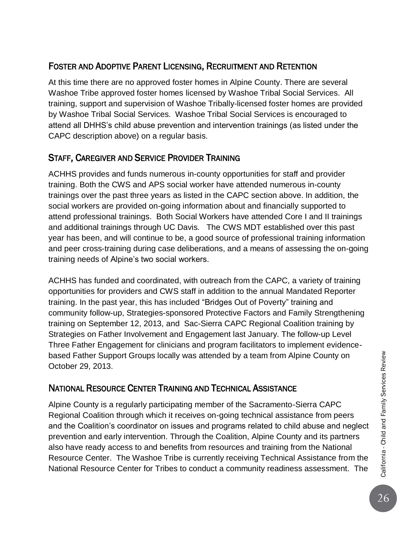### FOSTER AND ADOPTIVE PARENT LICENSING, RECRUITMENT AND RETENTION

At this time there are no approved foster homes in Alpine County. There are several Washoe Tribe approved foster homes licensed by Washoe Tribal Social Services. All training, support and supervision of Washoe Tribally-licensed foster homes are provided by Washoe Tribal Social Services. Washoe Tribal Social Services is encouraged to attend all DHHS's child abuse prevention and intervention trainings (as listed under the CAPC description above) on a regular basis.

### STAFF, CAREGIVER AND SERVICE PROVIDER TRAINING

ACHHS provides and funds numerous in-county opportunities for staff and provider training. Both the CWS and APS social worker have attended numerous in-county trainings over the past three years as listed in the CAPC section above. In addition, the social workers are provided on-going information about and financially supported to attend professional trainings. Both Social Workers have attended Core I and II trainings and additional trainings through UC Davis. The CWS MDT established over this past year has been, and will continue to be, a good source of professional training information and peer cross-training during case deliberations, and a means of assessing the on-going training needs of Alpine's two social workers.

ACHHS has funded and coordinated, with outreach from the CAPC, a variety of training opportunities for providers and CWS staff in addition to the annual Mandated Reporter training. In the past year, this has included "Bridges Out of Poverty" training and community follow-up, Strategies-sponsored Protective Factors and Family Strengthening training on September 12, 2013, and Sac-Sierra CAPC Regional Coalition training by Strategies on Father Involvement and Engagement last January. The follow-up Level Three Father Engagement for clinicians and program facilitators to implement evidencebased Father Support Groups locally was attended by a team from Alpine County on October 29, 2013.

### NATIONAL RESOURCE CENTER TRAINING AND TECHNICAL ASSISTANCE

Alpine County is a regularly participating member of the Sacramento-Sierra CAPC Regional Coalition through which it receives on-going technical assistance from peers and the Coalition's coordinator on issues and programs related to child abuse and neglect prevention and early intervention. Through the Coalition, Alpine County and its partners also have ready access to and benefits from resources and training from the National Resource Center. The Washoe Tribe is currently receiving Technical Assistance from the National Resource Center for Tribes to conduct a community readiness assessment. The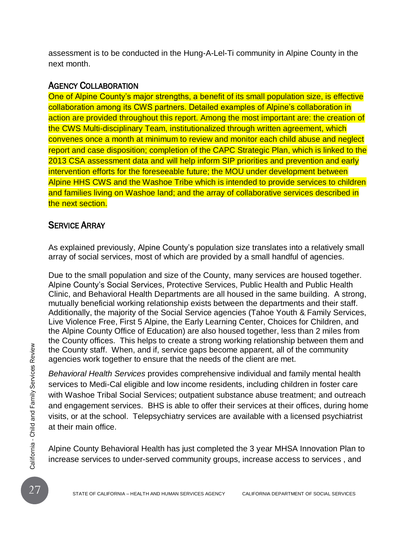assessment is to be conducted in the Hung-A-Lel-Ti community in Alpine County in the next month.

#### AGENCY COLLABORATION

One of Alpine County's major strengths, a benefit of its small population size, is effective collaboration among its CWS partners. Detailed examples of Alpine's collaboration in action are provided throughout this report. Among the most important are: the creation of the CWS Multi-disciplinary Team, institutionalized through written agreement, which convenes once a month at minimum to review and monitor each child abuse and neglect report and case disposition; completion of the CAPC Strategic Plan, which is linked to the 2013 CSA assessment data and will help inform SIP priorities and prevention and early intervention efforts for the foreseeable future; the MOU under development between Alpine HHS CWS and the Washoe Tribe which is intended to provide services to children and families living on Washoe land; and the array of collaborative services described in the next section.

#### SERVICE ARRAY

As explained previously, Alpine County's population size translates into a relatively small array of social services, most of which are provided by a small handful of agencies.

Due to the small population and size of the County, many services are housed together. Alpine County's Social Services, Protective Services, Public Health and Public Health Clinic, and Behavioral Health Departments are all housed in the same building. A strong, mutually beneficial working relationship exists between the departments and their staff. Additionally, the majority of the Social Service agencies (Tahoe Youth & Family Services, Live Violence Free, First 5 Alpine, the Early Learning Center, Choices for Children, and the Alpine County Office of Education) are also housed together, less than 2 miles from the County offices. This helps to create a strong working relationship between them and the County staff. When, and if, service gaps become apparent, all of the community agencies work together to ensure that the needs of the client are met.

THE CALIFORNIA – HEALTH AND HUMAN SERVICES AGENCY<br>
27 STATE OF CALIFORNIA – HEALTH AND HUMAN SERVICES AGENCY<br>
27 STATE OF CALIFORNIA – HEALTH AND HUMAN SERVICES AGENCY<br>
27 STATE OF CALIFORNIA – HEALTH AND HUMAN SERVICES AG *Behavioral Health Services* provides comprehensive individual and family mental health services to Medi-Cal eligible and low income residents, including children in foster care with Washoe Tribal Social Services; outpatient substance abuse treatment; and outreach and engagement services. BHS is able to offer their services at their offices, during home visits, or at the school. Telepsychiatry services are available with a licensed psychiatrist at their main office.

Alpine County Behavioral Health has just completed the 3 year MHSA Innovation Plan to increase services to under-served community groups, increase access to services , and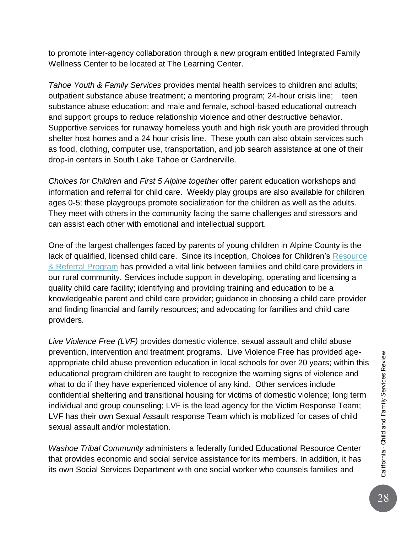to promote inter-agency collaboration through a new program entitled Integrated Family Wellness Center to be located at The Learning Center.

*Tahoe Youth & Family Services* provides mental health services to children and adults; outpatient substance abuse treatment; a mentoring program; 24-hour crisis line; teen substance abuse education; and male and female, school-based educational outreach and support groups to reduce relationship violence and other destructive behavior. Supportive services for runaway homeless youth and high risk youth are provided through shelter host homes and a 24 hour crisis line. These youth can also obtain services such as food, clothing, computer use, transportation, and job search assistance at one of their drop-in centers in South Lake Tahoe or Gardnerville.

*Choices for Children* and *First 5 Alpine together* offer parent education workshops and information and referral for child care. Weekly play groups are also available for children ages 0-5; these playgroups promote socialization for the children as well as the adults. They meet with others in the community facing the same challenges and stressors and can assist each other with emotional and intellectual support.

One of the largest challenges faced by parents of young children in Alpine County is the lack of qualified, licensed child care. Since its inception, Choices for Children's [Resource](http://www.choices4children-alpine.org/program_2.aspx)  [& Referral Program](http://www.choices4children-alpine.org/program_2.aspx) has provided a vital link between families and child care providers in our rural community. Services include support in developing, operating and licensing a quality child care facility; identifying and providing training and education to be a knowledgeable parent and child care provider; guidance in choosing a child care provider and finding financial and family resources; and advocating for families and child care providers.

*Live Violence Free (LVF)* provides domestic violence, sexual assault and child abuse prevention, intervention and treatment programs. Live Violence Free has provided ageappropriate child abuse prevention education in local schools for over 20 years; within this educational program children are taught to recognize the warning signs of violence and what to do if they have experienced violence of any kind. Other services include confidential sheltering and transitional housing for victims of domestic violence; long term individual and group counseling; LVF is the lead agency for the Victim Response Team; LVF has their own Sexual Assault response Team which is mobilized for cases of child sexual assault and/or molestation.

*Washoe Tribal Community* administers a federally funded Educational Resource Center that provides economic and social service assistance for its members. In addition, it has its own Social Services Department with one social worker who counsels families and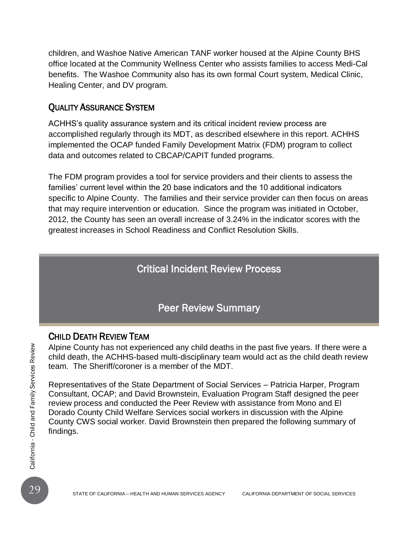children, and Washoe Native American TANF worker housed at the Alpine County BHS office located at the Community Wellness Center who assists families to access Medi-Cal benefits. The Washoe Community also has its own formal Court system, Medical Clinic, Healing Center, and DV program.

#### QUALITY ASSURANCE SYSTEM

ACHHS's quality assurance system and its critical incident review process are accomplished regularly through its MDT, as described elsewhere in this report. ACHHS implemented the OCAP funded Family Development Matrix (FDM) program to collect data and outcomes related to CBCAP/CAPIT funded programs.

The FDM program provides a tool for service providers and their clients to assess the families' current level within the 20 base indicators and the 10 additional indicators specific to Alpine County. The families and their service provider can then focus on areas that may require intervention or education. Since the program was initiated in October, 2012, the County has seen an overall increase of 3.24% in the indicator scores with the greatest increases in School Readiness and Conflict Resolution Skills.

### Critical Incident Review Process

### Peer Review Summary

#### CHILD DEATH REVIEW TEAM

Alpine County has not experienced any child deaths in the past five years. If there were a child death, the ACHHS-based multi-disciplinary team would act as the child death review team. The Sheriff/coroner is a member of the MDT.

Alpine County has not experienced any child deaths in the past five years. If there were child death, the ACHHS-based multi-disciplinary team would act as the child death reverse than. The Sheriff/coroner is a member of t Representatives of the State Department of Social Services – Patricia Harper, Program Consultant, OCAP; and David Brownstein, Evaluation Program Staff designed the peer review process and conducted the Peer Review with assistance from Mono and El Dorado County Child Welfare Services social workers in discussion with the Alpine County CWS social worker. David Brownstein then prepared the following summary of findings.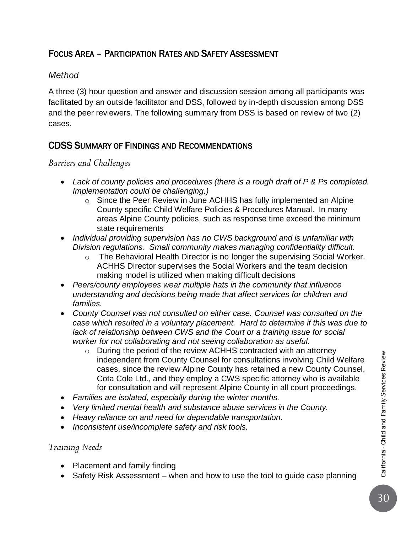### FOCUS AREA – PARTICIPATION RATES AND SAFETY ASSESSMENT

#### *Method*

A three (3) hour question and answer and discussion session among all participants was facilitated by an outside facilitator and DSS, followed by in-depth discussion among DSS and the peer reviewers. The following summary from DSS is based on review of two (2) cases.

#### CDSS SUMMARY OF FINDINGS AND RECOMMENDATIONS

#### *Barriers and Challenges*

- *Lack of county policies and procedures (there is a rough draft of P & Ps completed. Implementation could be challenging.)*
	- o Since the Peer Review in June ACHHS has fully implemented an Alpine County specific Child Welfare Policies & Procedures Manual. In many areas Alpine County policies, such as response time exceed the minimum state requirements
- *Individual providing supervision has no CWS background and is unfamiliar with Division regulations. Small community makes managing confidentiality difficult.*
	- o The Behavioral Health Director is no longer the supervising Social Worker. ACHHS Director supervises the Social Workers and the team decision making model is utilized when making difficult decisions
- *Peers/county employees wear multiple hats in the community that influence understanding and decisions being made that affect services for children and families.*
- *County Counsel was not consulted on either case. Counsel was consulted on the case which resulted in a voluntary placement. Hard to determine if this was due to lack of relationship between CWS and the Court or a training issue for social worker for not collaborating and not seeing collaboration as useful.* 
	- o During the period of the review ACHHS contracted with an attorney independent from County Counsel for consultations involving Child Welfare cases, since the review Alpine County has retained a new County Counsel, Cota Cole Ltd., and they employ a CWS specific attorney who is available for consultation and will represent Alpine County in all court proceedings.
- *Families are isolated, especially during the winter months.*
- *Very limited mental health and substance abuse services in the County.*
- *Heavy reliance on and need for dependable transportation.*
- *Inconsistent use/incomplete safety and risk tools.*

#### *Training Needs*

- Placement and family finding
- Safety Risk Assessment when and how to use the tool to guide case planning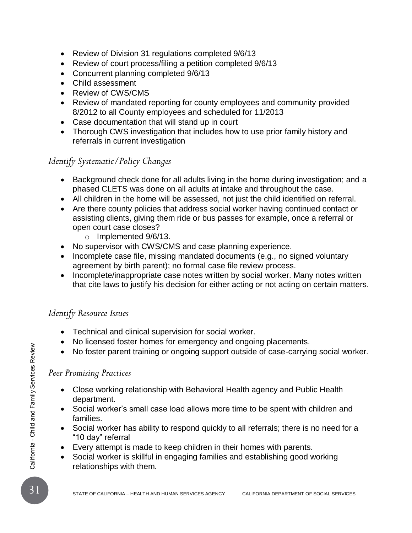- Review of Division 31 regulations completed 9/6/13
- Review of court process/filing a petition completed 9/6/13
- Concurrent planning completed 9/6/13
- Child assessment
- Review of CWS/CMS
- Review of mandated reporting for county employees and community provided 8/2012 to all County employees and scheduled for 11/2013
- Case documentation that will stand up in court
- Thorough CWS investigation that includes how to use prior family history and referrals in current investigation

#### *Identify Systematic/Policy Changes*

- Background check done for all adults living in the home during investigation; and a phased CLETS was done on all adults at intake and throughout the case.
- All children in the home will be assessed, not just the child identified on referral.
- Are there county policies that address social worker having continued contact or assisting clients, giving them ride or bus passes for example, once a referral or open court case closes?
	- o Implemented 9/6/13.
- No supervisor with CWS/CMS and case planning experience.
- Incomplete case file, missing mandated documents (e.g., no signed voluntary agreement by birth parent); no formal case file review process.
- Incomplete/inappropriate case notes written by social worker. Many notes written that cite laws to justify his decision for either acting or not acting on certain matters.

#### *Identify Resource Issues*

- Technical and clinical supervision for social worker.
- No licensed foster homes for emergency and ongoing placements.
- No foster parent training or ongoing support outside of case-carrying social worker.

#### *Peer Promising Practices*

- Close working relationship with Behavioral Health agency and Public Health department.
- Social worker's small case load allows more time to be spent with children and families.
- <sup>31</sup> STATE OF CALIFORNIA HEALTH AND HUMAN SERVICES AGENCY CALIFORNIA DEPARTMENT OF SOCIAL SERVICES California Child and Family Services Review Social worker has ability to respond quickly to all referrals; there is no need for a "10 day" referral
	- Every attempt is made to keep children in their homes with parents.
	- Social worker is skillful in engaging families and establishing good working relationships with them.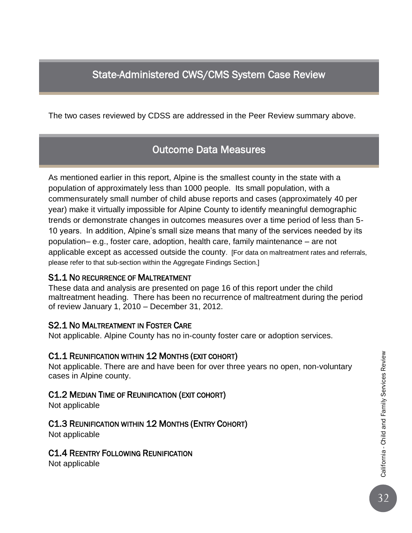# State-Administered CWS/CMS System Case Review

The two cases reviewed by CDSS are addressed in the Peer Review summary above.

### Outcome Data Measures

As mentioned earlier in this report, Alpine is the smallest county in the state with a population of approximately less than 1000 people. Its small population, with a commensurately small number of child abuse reports and cases (approximately 40 per year) make it virtually impossible for Alpine County to identify meaningful demographic trends or demonstrate changes in outcomes measures over a time period of less than 5- 10 years. In addition, Alpine's small size means that many of the services needed by its population– e.g., foster care, adoption, health care, family maintenance – are not applicable except as accessed outside the county. [For data on maltreatment rates and referrals, please refer to that sub-section within the Aggregate Findings Section.]

#### S1.1 NO RECURRENCE OF MALTREATMENT

These data and analysis are presented on page 16 of this report under the child maltreatment heading. There has been no recurrence of maltreatment during the period of review January 1, 2010 – December 31, 2012.

#### S2.1 NO MALTREATMENT IN FOSTER CARE

Not applicable. Alpine County has no in-county foster care or adoption services.

#### C1.1 REUNIFICATION WITHIN 12 MONTHS (EXIT COHORT)

Not applicable. There are and have been for over three years no open, non-voluntary cases in Alpine county.

#### C1.2 MEDIAN TIME OF REUNIFICATION (EXIT COHORT)

Not applicable

#### C1.3 REUNIFICATION WITHIN 12 MONTHS (ENTRY COHORT)

Not applicable

#### C1.4 REENTRY FOLLOWING REUNIFICATION

Not applicable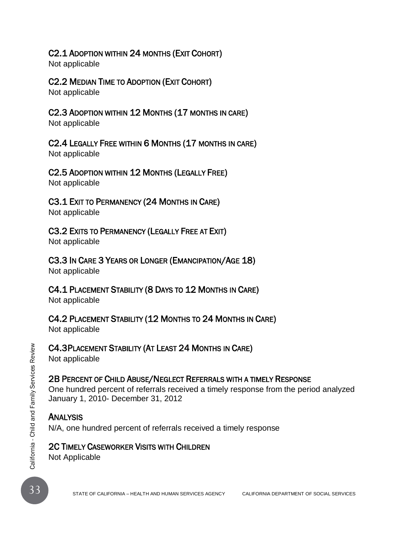#### C2.1 ADOPTION WITHIN 24 MONTHS (EXIT COHORT)

Not applicable

### C2.2 MEDIAN TIME TO ADOPTION (EXIT COHORT)

Not applicable

# C2.3 ADOPTION WITHIN 12 MONTHS (17 MONTHS IN CARE)

Not applicable

# C2.4 LEGALLY FREE WITHIN 6 MONTHS (17 MONTHS IN CARE)

Not applicable

### C2.5 ADOPTION WITHIN 12 MONTHS (LEGALLY FREE)

Not applicable

# C3.1 EXIT TO PERMANENCY (24 MONTHS IN CARE)

Not applicable

# C3.2 EXITS TO PERMANENCY (LEGALLY FREE AT EXIT)

Not applicable

# C3.3 IN CARE 3 YEARS OR LONGER (EMANCIPATION/AGE 18)

Not applicable

# C4.1 PLACEMENT STABILITY (8 DAYS TO 12 MONTHS IN CARE)

Not applicable

# C4.2 PLACEMENT STABILITY (12 MONTHS TO 24 MONTHS IN CARE)

Not applicable

# C4.3PLACEMENT STABILITY (AT LEAST 24 MONTHS IN CARE)

Not applicable

# 2B PERCENT OF CHILD ABUSE/NEGLECT REFERRALS WITH A TIMELY RESPONSE

33<br> **33** STATE OF CHILD ABUSE/NEGLECT REFERRALS WITH A TIMELY RESPONSE<br>
2D PERCENT OF CHILD ABUSE/NEGLECT REFERRALS WITH A TIMELY RESPONSE<br>
One hundred percent of referrals received a timely response from the period analyz One hundred percent of referrals received a timely response from the period analyzed January 1, 2010- December 31, 2012

# **ANALYSIS**

N/A, one hundred percent of referrals received a timely response

### 2C TIMELY CASEWORKER VISITS WITH CHILDREN

Not Applicable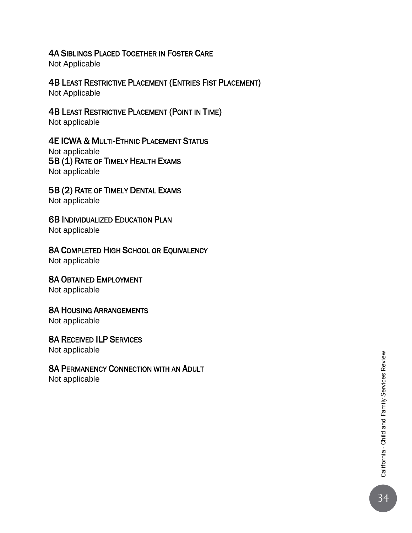#### 4A SIBLINGS PLACED TOGETHER IN FOSTER CARE

Not Applicable

### 4B LEAST RESTRICTIVE PLACEMENT (ENTRIES FIST PLACEMENT)

Not Applicable

#### 4B LEAST RESTRICTIVE PLACEMENT (POINT IN TIME)

Not applicable

#### 4E ICWA & MULTI-ETHNIC PLACEMENT STATUS

Not applicable 5B (1) RATE OF TIMELY HEALTH EXAMS Not applicable

#### 5B (2) RATE OF TIMELY DENTAL EXAMS Not applicable

**6B INDIVIDUALIZED EDUCATION PLAN** Not applicable

#### 8A COMPLETED HIGH SCHOOL OR EQUIVALENCY Not applicable

8A OBTAINED EMPLOYMENT

Not applicable

#### 8A HOUSING ARRANGEMENTS

Not applicable

#### 8A RECEIVED ILP SERVICES

Not applicable

#### 8A PERMANENCY CONNECTION WITH AN ADULT

Not applicable